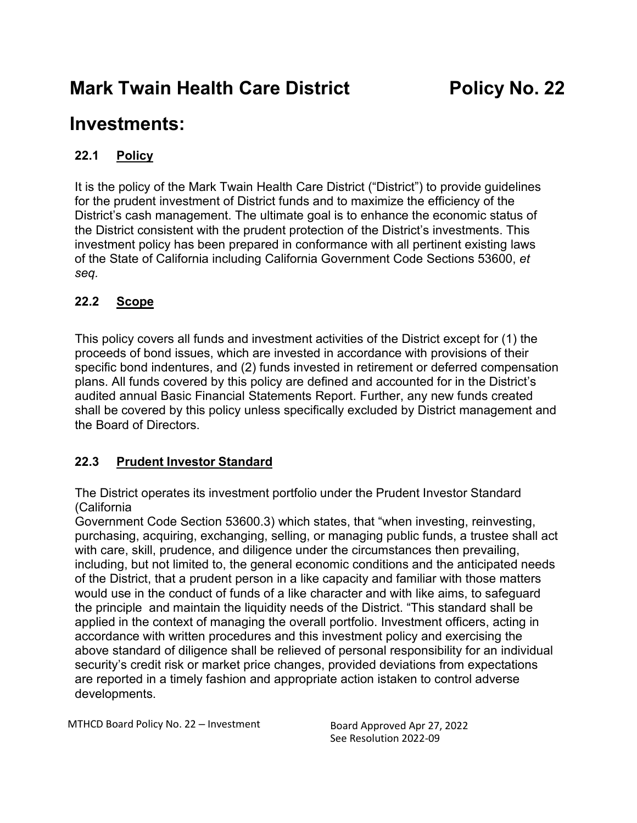# **Mark Twain Health Care District Policy No. 22**

## **Investments:**

## **22.1 Policy**

It is the policy of the Mark Twain Health Care District ("District") to provide guidelines for the prudent investment of District funds and to maximize the efficiency of the District's cash management. The ultimate goal is to enhance the economic status of the District consistent with the prudent protection of the District's investments. This investment policy has been prepared in conformance with all pertinent existing laws of the State of California including California Government Code Sections 53600, *et seq.*

## **22.2 Scope**

This policy covers all funds and investment activities of the District except for (1) the proceeds of bond issues, which are invested in accordance with provisions of their specific bond indentures, and (2) funds invested in retirement or deferred compensation plans. All funds covered by this policy are defined and accounted for in the District's audited annual Basic Financial Statements Report. Further, any new funds created shall be covered by this policy unless specifically excluded by District management and the Board of Directors.

## **22.3 Prudent Investor Standard**

The District operates its investment portfolio under the Prudent Investor Standard (California

Government Code Section 53600.3) which states, that "when investing, reinvesting, purchasing, acquiring, exchanging, selling, or managing public funds, a trustee shall act with care, skill, prudence, and diligence under the circumstances then prevailing, including, but not limited to, the general economic conditions and the anticipated needs of the District, that a prudent person in a like capacity and familiar with those matters would use in the conduct of funds of a like character and with like aims, to safeguard the principle and maintain the liquidity needs of the District. "This standard shall be applied in the context of managing the overall portfolio. Investment officers, acting in accordance with written procedures and this investment policy and exercising the above standard of diligence shall be relieved of personal responsibility for an individual security's credit risk or market price changes, provided deviations from expectations are reported in a timely fashion and appropriate action istaken to control adverse developments.

MTHCD Board Policy No. 22 – Investment Board Approved Apr 27, 2022

See Resolution 2022-09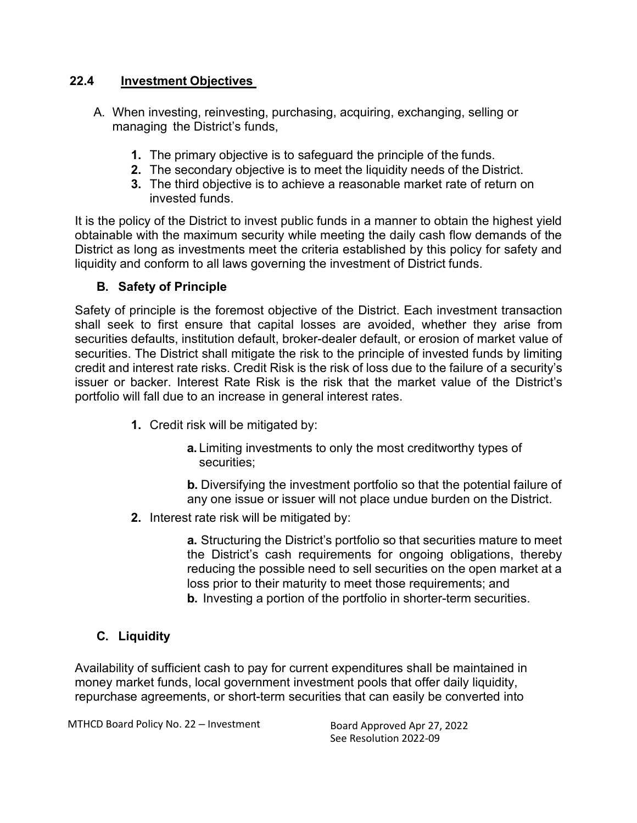#### **22.4 Investment Objectives**

- A. When investing, reinvesting, purchasing, acquiring, exchanging, selling or managing the District's funds,
	- **1.** The primary objective is to safeguard the principle of the funds.
	- **2.** The secondary objective is to meet the liquidity needs of the District.
	- **3.** The third objective is to achieve a reasonable market rate of return on invested funds.

It is the policy of the District to invest public funds in a manner to obtain the highest yield obtainable with the maximum security while meeting the daily cash flow demands of the District as long as investments meet the criteria established by this policy for safety and liquidity and conform to all laws governing the investment of District funds.

#### **B. Safety of Principle**

Safety of principle is the foremost objective of the District. Each investment transaction shall seek to first ensure that capital losses are avoided, whether they arise from securities defaults, institution default, broker-dealer default, or erosion of market value of securities. The District shall mitigate the risk to the principle of invested funds by limiting credit and interest rate risks. Credit Risk is the risk of loss due to the failure of a security's issuer or backer. Interest Rate Risk is the risk that the market value of the District's portfolio will fall due to an increase in general interest rates.

- **1.** Credit risk will be mitigated by:
	- **a.** Limiting investments to only the most creditworthy types of securities;

**b.** Diversifying the investment portfolio so that the potential failure of any one issue or issuer will not place undue burden on the District.

**2.** Interest rate risk will be mitigated by:

**a.** Structuring the District's portfolio so that securities mature to meet the District's cash requirements for ongoing obligations, thereby reducing the possible need to sell securities on the open market at a loss prior to their maturity to meet those requirements; and **b.** Investing a portion of the portfolio in shorter-term securities.

## **C. Liquidity**

Availability of sufficient cash to pay for current expenditures shall be maintained in money market funds, local government investment pools that offer daily liquidity, repurchase agreements, or short-term securities that can easily be converted into

MTHCD Board Policy No. 22 – Investment Board Approved Apr 27, 2022

See Resolution 2022-09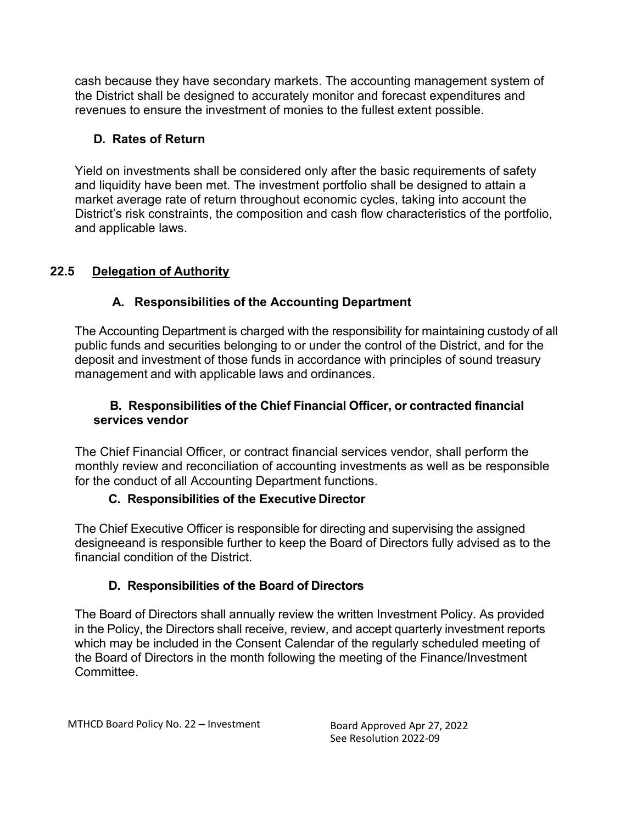cash because they have secondary markets. The accounting management system of the District shall be designed to accurately monitor and forecast expenditures and revenues to ensure the investment of monies to the fullest extent possible.

## **D. Rates of Return**

Yield on investments shall be considered only after the basic requirements of safety and liquidity have been met. The investment portfolio shall be designed to attain a market average rate of return throughout economic cycles, taking into account the District's risk constraints, the composition and cash flow characteristics of the portfolio, and applicable laws.

## **22.5 Delegation of Authority**

## **A. Responsibilities of the Accounting Department**

The Accounting Department is charged with the responsibility for maintaining custody of all public funds and securities belonging to or under the control of the District, and for the deposit and investment of those funds in accordance with principles of sound treasury management and with applicable laws and ordinances.

#### **B. Responsibilities of the Chief Financial Officer, or contracted financial services vendor**

The Chief Financial Officer, or contract financial services vendor, shall perform the monthly review and reconciliation of accounting investments as well as be responsible for the conduct of all Accounting Department functions.

#### **C. Responsibilities of the Executive Director**

The Chief Executive Officer is responsible for directing and supervising the assigned designeeand is responsible further to keep the Board of Directors fully advised as to the financial condition of the District.

## **D. Responsibilities of the Board of Directors**

The Board of Directors shall annually review the written Investment Policy. As provided in the Policy, the Directors shall receive, review, and accept quarterly investment reports which may be included in the Consent Calendar of the regularly scheduled meeting of the Board of Directors in the month following the meeting of the Finance/Investment Committee.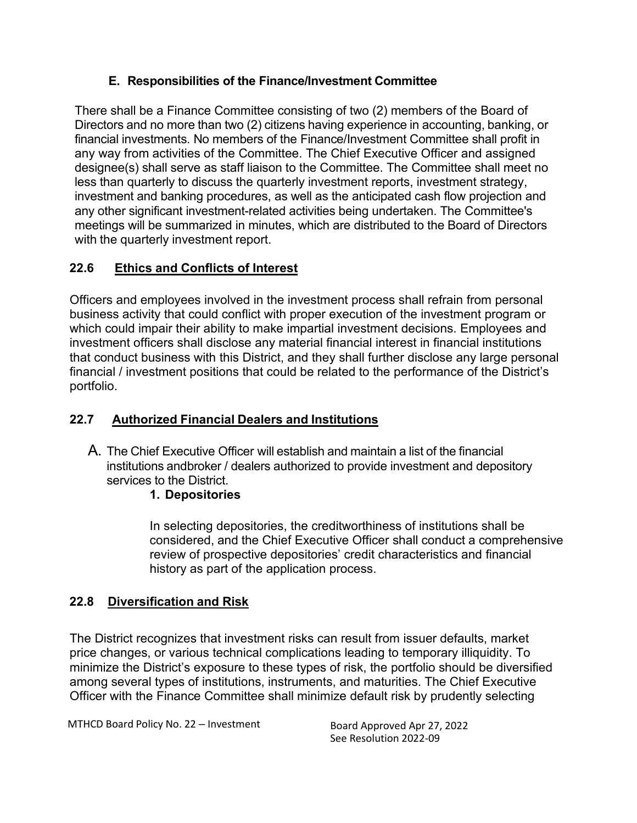## **E. Responsibilities of the Finance/Investment Committee**

There shall be a Finance Committee consisting of two (2) members of the Board of Directors and no more than two (2) citizens having experience in accounting, banking, or financial investments. No members of the Finance/Investment Committee shall profit in any way from activities of the Committee. The Chief Executive Officer and assigned designee(s) shall serve as staff liaison to the Committee. The Committee shall meet no less than quarterly to discuss the quarterly investment reports, investment strategy, investment and banking procedures, as well as the anticipated cash flow projection and any other significant investment-related activities being undertaken. The Committee's meetings will be summarized in minutes, which are distributed to the Board of Directors with the quarterly investment report.

## **22.6 Ethics and Conflicts of Interest**

Officers and employees involved in the investment process shall refrain from personal business activity that could conflict with proper execution of the investment program or which could impair their ability to make impartial investment decisions. Employees and investment officers shall disclose any material financial interest in financial institutions that conduct business with this District, and they shall further disclose any large personal financial / investment positions that could be related to the performance of the District's portfolio.

## **22.7 Authorized Financial Dealers and Institutions**

A. The Chief Executive Officer will establish and maintain a list of the financial institutions andbroker / dealers authorized to provide investment and depository services to the District.

## **1. Depositories**

In selecting depositories, the creditworthiness of institutions shall be considered, and the Chief Executive Officer shall conduct a comprehensive review of prospective depositories' credit characteristics and financial history as part of the application process.

## **22.8 Diversification and Risk**

The District recognizes that investment risks can result from issuer defaults, market price changes, or various technical complications leading to temporary illiquidity. To minimize the District's exposure to these types of risk, the portfolio should be diversified among several types of institutions, instruments, and maturities. The Chief Executive Officer with the Finance Committee shall minimize default risk by prudently selecting

See Resolution 2022-09